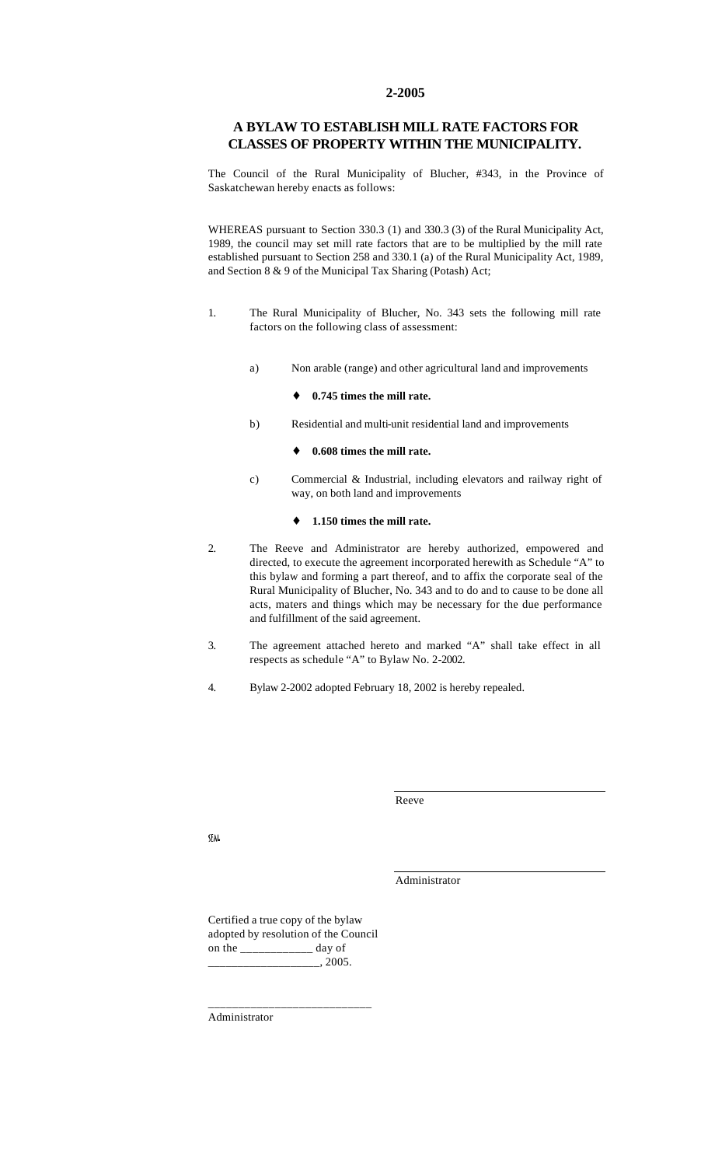#### **2-2005**

### **A BYLAW TO ESTABLISH MILL RATE FACTORS FOR CLASSES OF PROPERTY WITHIN THE MUNICIPALITY.**

The Council of the Rural Municipality of Blucher, #343, in the Province of Saskatchewan hereby enacts as follows:

WHEREAS pursuant to Section 330.3 (1) and 330.3 (3) of the Rural Municipality Act, 1989, the council may set mill rate factors that are to be multiplied by the mill rate established pursuant to Section 258 and 330.1 (a) of the Rural Municipality Act, 1989, and Section 8 & 9 of the Municipal Tax Sharing (Potash) Act;

- 1. The Rural Municipality of Blucher, No. 343 sets the following mill rate factors on the following class of assessment:
	- a) Non arable (range) and other agricultural land and improvements
		- ♦ **0.745 times the mill rate.**
	- b) Residential and multi-unit residential land and improvements

#### 0.608 times the mill rate.

c) Commercial & Industrial, including elevators and railway right of way, on both land and improvements

#### ♦ **1.150 times the mill rate.**

- 2. The Reeve and Administrator are hereby authorized, empowered and directed, to execute the agreement incorporated herewith as Schedule "A" to this bylaw and forming a part thereof, and to affix the corporate seal of the Rural Municipality of Blucher, No. 343 and to do and to cause to be done all acts, maters and things which may be necessary for the due performance and fulfillment of the said agreement.
- 3. The agreement attached hereto and marked "A" shall take effect in all respects as schedule "A" to Bylaw No. 2-2002.
- 4. Bylaw 2-2002 adopted February 18, 2002 is hereby repealed.

Reeve

**SFAL** 

Administrator

Certified a true copy of the bylaw adopted by resolution of the Council on the \_\_\_\_\_\_\_\_\_\_\_\_ day of  $, 2005.$ 

\_\_\_\_\_\_\_\_\_\_\_\_\_\_\_\_\_\_\_\_\_\_\_\_\_\_\_

Administrator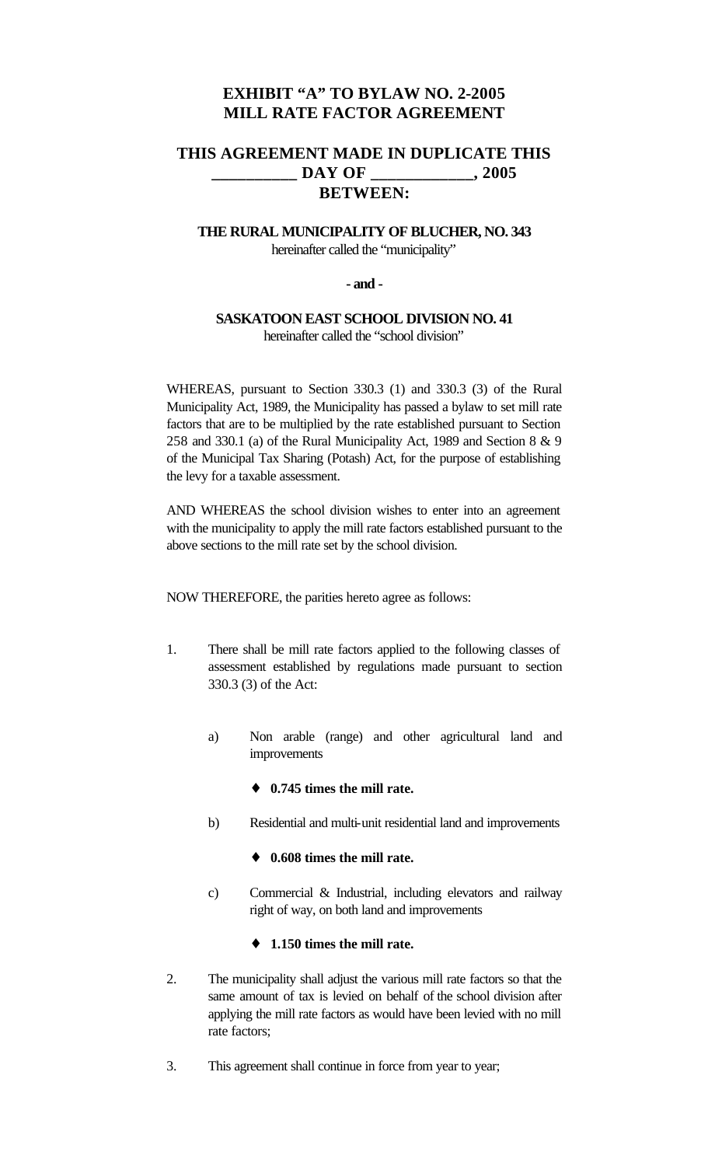# **EXHIBIT "A" TO BYLAW NO. 2-2005 MILL RATE FACTOR AGREEMENT**

# **THIS AGREEMENT MADE IN DUPLICATE THIS \_\_\_\_\_\_\_\_\_\_ DAY OF \_\_\_\_\_\_\_\_\_\_\_\_, 2005 BETWEEN:**

## **THE RURAL MUNICIPALITY OF BLUCHER, NO. 343** hereinafter called the "municipality"

### **- and -**

### **SASKATOON EAST SCHOOL DIVISION NO. 41** hereinafter called the "school division"

WHEREAS, pursuant to Section 330.3 (1) and 330.3 (3) of the Rural Municipality Act, 1989, the Municipality has passed a bylaw to set mill rate factors that are to be multiplied by the rate established pursuant to Section 258 and 330.1 (a) of the Rural Municipality Act, 1989 and Section 8 & 9 of the Municipal Tax Sharing (Potash) Act, for the purpose of establishing the levy for a taxable assessment.

AND WHEREAS the school division wishes to enter into an agreement with the municipality to apply the mill rate factors established pursuant to the above sections to the mill rate set by the school division.

NOW THEREFORE, the parities hereto agree as follows:

- 1. There shall be mill rate factors applied to the following classes of assessment established by regulations made pursuant to section 330.3 (3) of the Act:
	- a) Non arable (range) and other agricultural land and improvements
		- ♦ **0.745 times the mill rate.**
	- b) Residential and multi-unit residential land and improvements

#### ♦ **0.608 times the mill rate.**

c) Commercial & Industrial, including elevators and railway right of way, on both land and improvements

## ♦ **1.150 times the mill rate.**

- 2. The municipality shall adjust the various mill rate factors so that the same amount of tax is levied on behalf of the school division after applying the mill rate factors as would have been levied with no mill rate factors;
- 3. This agreement shall continue in force from year to year;